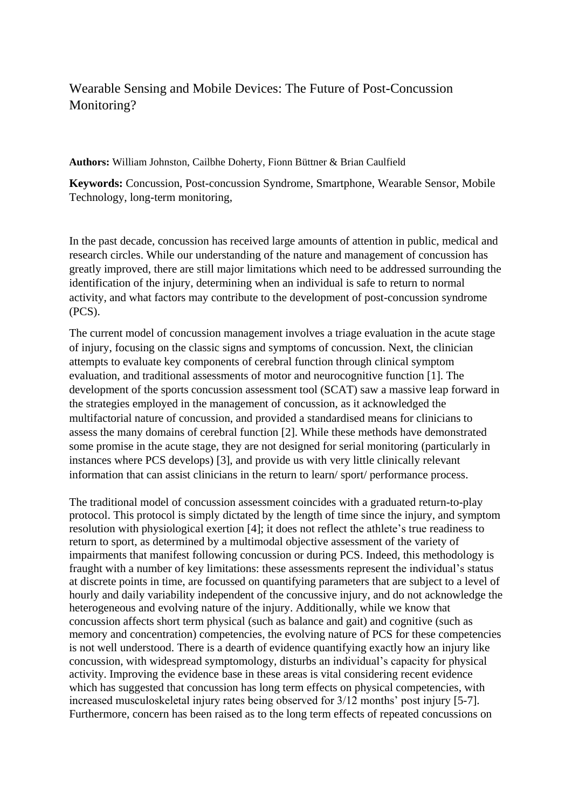## Wearable Sensing and Mobile Devices: The Future of Post-Concussion Monitoring?

**Authors:** William Johnston, Cailbhe Doherty, Fionn Büttner & Brian Caulfield

**Keywords:** Concussion, Post-concussion Syndrome, Smartphone, Wearable Sensor, Mobile Technology, long-term monitoring,

In the past decade, concussion has received large amounts of attention in public, medical and research circles. While our understanding of the nature and management of concussion has greatly improved, there are still major limitations which need to be addressed surrounding the identification of the injury, determining when an individual is safe to return to normal activity, and what factors may contribute to the development of post-concussion syndrome (PCS).

The current model of concussion management involves a triage evaluation in the acute stage of injury, focusing on the classic signs and symptoms of concussion. Next, the clinician attempts to evaluate key components of cerebral function through clinical symptom evaluation, and traditional assessments of motor and neurocognitive function [1]. The development of the sports concussion assessment tool (SCAT) saw a massive leap forward in the strategies employed in the management of concussion, as it acknowledged the multifactorial nature of concussion, and provided a standardised means for clinicians to assess the many domains of cerebral function [2]. While these methods have demonstrated some promise in the acute stage, they are not designed for serial monitoring (particularly in instances where PCS develops) [3], and provide us with very little clinically relevant information that can assist clinicians in the return to learn/ sport/ performance process.

The traditional model of concussion assessment coincides with a graduated return-to-play protocol. This protocol is simply dictated by the length of time since the injury, and symptom resolution with physiological exertion [4]; it does not reflect the athlete's true readiness to return to sport, as determined by a multimodal objective assessment of the variety of impairments that manifest following concussion or during PCS. Indeed, this methodology is fraught with a number of key limitations: these assessments represent the individual's status at discrete points in time, are focussed on quantifying parameters that are subject to a level of hourly and daily variability independent of the concussive injury, and do not acknowledge the heterogeneous and evolving nature of the injury. Additionally, while we know that concussion affects short term physical (such as balance and gait) and cognitive (such as memory and concentration) competencies, the evolving nature of PCS for these competencies is not well understood. There is a dearth of evidence quantifying exactly how an injury like concussion, with widespread symptomology, disturbs an individual's capacity for physical activity. Improving the evidence base in these areas is vital considering recent evidence which has suggested that concussion has long term effects on physical competencies, with increased musculoskeletal injury rates being observed for 3/12 months' post injury [5-7]. Furthermore, concern has been raised as to the long term effects of repeated concussions on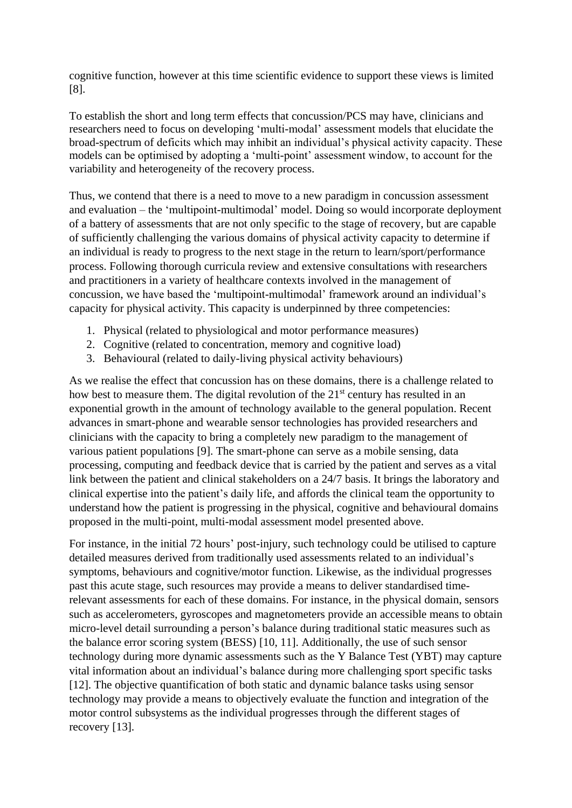cognitive function, however at this time scientific evidence to support these views is limited [8].

To establish the short and long term effects that concussion/PCS may have, clinicians and researchers need to focus on developing 'multi-modal' assessment models that elucidate the broad-spectrum of deficits which may inhibit an individual's physical activity capacity. These models can be optimised by adopting a 'multi-point' assessment window, to account for the variability and heterogeneity of the recovery process.

Thus, we contend that there is a need to move to a new paradigm in concussion assessment and evaluation – the 'multipoint-multimodal' model. Doing so would incorporate deployment of a battery of assessments that are not only specific to the stage of recovery, but are capable of sufficiently challenging the various domains of physical activity capacity to determine if an individual is ready to progress to the next stage in the return to learn/sport/performance process. Following thorough curricula review and extensive consultations with researchers and practitioners in a variety of healthcare contexts involved in the management of concussion, we have based the 'multipoint-multimodal' framework around an individual's capacity for physical activity. This capacity is underpinned by three competencies:

- 1. Physical (related to physiological and motor performance measures)
- 2. Cognitive (related to concentration, memory and cognitive load)
- 3. Behavioural (related to daily-living physical activity behaviours)

As we realise the effect that concussion has on these domains, there is a challenge related to how best to measure them. The digital revolution of the 21<sup>st</sup> century has resulted in an exponential growth in the amount of technology available to the general population. Recent advances in smart-phone and wearable sensor technologies has provided researchers and clinicians with the capacity to bring a completely new paradigm to the management of various patient populations [9]. The smart-phone can serve as a mobile sensing, data processing, computing and feedback device that is carried by the patient and serves as a vital link between the patient and clinical stakeholders on a 24/7 basis. It brings the laboratory and clinical expertise into the patient's daily life, and affords the clinical team the opportunity to understand how the patient is progressing in the physical, cognitive and behavioural domains proposed in the multi-point, multi-modal assessment model presented above.

For instance, in the initial 72 hours' post-injury, such technology could be utilised to capture detailed measures derived from traditionally used assessments related to an individual's symptoms, behaviours and cognitive/motor function. Likewise, as the individual progresses past this acute stage, such resources may provide a means to deliver standardised timerelevant assessments for each of these domains. For instance, in the physical domain, sensors such as accelerometers, gyroscopes and magnetometers provide an accessible means to obtain micro-level detail surrounding a person's balance during traditional static measures such as the balance error scoring system (BESS) [10, 11]. Additionally, the use of such sensor technology during more dynamic assessments such as the Y Balance Test (YBT) may capture vital information about an individual's balance during more challenging sport specific tasks [12]. The objective quantification of both static and dynamic balance tasks using sensor technology may provide a means to objectively evaluate the function and integration of the motor control subsystems as the individual progresses through the different stages of recovery [13].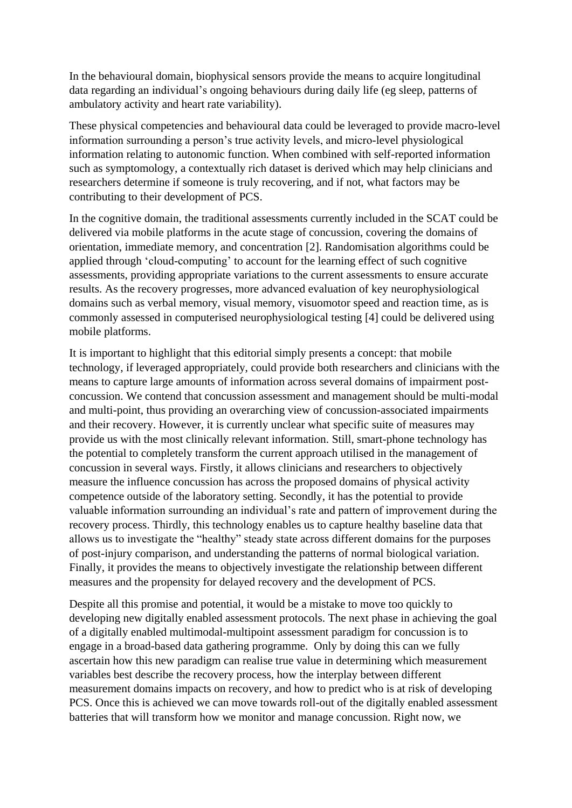In the behavioural domain, biophysical sensors provide the means to acquire longitudinal data regarding an individual's ongoing behaviours during daily life (eg sleep, patterns of ambulatory activity and heart rate variability).

These physical competencies and behavioural data could be leveraged to provide macro-level information surrounding a person's true activity levels, and micro-level physiological information relating to autonomic function. When combined with self-reported information such as symptomology, a contextually rich dataset is derived which may help clinicians and researchers determine if someone is truly recovering, and if not, what factors may be contributing to their development of PCS.

In the cognitive domain, the traditional assessments currently included in the SCAT could be delivered via mobile platforms in the acute stage of concussion, covering the domains of orientation, immediate memory, and concentration [2]. Randomisation algorithms could be applied through 'cloud-computing' to account for the learning effect of such cognitive assessments, providing appropriate variations to the current assessments to ensure accurate results. As the recovery progresses, more advanced evaluation of key neurophysiological domains such as verbal memory, visual memory, visuomotor speed and reaction time, as is commonly assessed in computerised neurophysiological testing [4] could be delivered using mobile platforms.

It is important to highlight that this editorial simply presents a concept: that mobile technology, if leveraged appropriately, could provide both researchers and clinicians with the means to capture large amounts of information across several domains of impairment postconcussion. We contend that concussion assessment and management should be multi-modal and multi-point, thus providing an overarching view of concussion-associated impairments and their recovery. However, it is currently unclear what specific suite of measures may provide us with the most clinically relevant information. Still, smart-phone technology has the potential to completely transform the current approach utilised in the management of concussion in several ways. Firstly, it allows clinicians and researchers to objectively measure the influence concussion has across the proposed domains of physical activity competence outside of the laboratory setting. Secondly, it has the potential to provide valuable information surrounding an individual's rate and pattern of improvement during the recovery process. Thirdly, this technology enables us to capture healthy baseline data that allows us to investigate the "healthy" steady state across different domains for the purposes of post-injury comparison, and understanding the patterns of normal biological variation. Finally, it provides the means to objectively investigate the relationship between different measures and the propensity for delayed recovery and the development of PCS.

Despite all this promise and potential, it would be a mistake to move too quickly to developing new digitally enabled assessment protocols. The next phase in achieving the goal of a digitally enabled multimodal-multipoint assessment paradigm for concussion is to engage in a broad-based data gathering programme. Only by doing this can we fully ascertain how this new paradigm can realise true value in determining which measurement variables best describe the recovery process, how the interplay between different measurement domains impacts on recovery, and how to predict who is at risk of developing PCS. Once this is achieved we can move towards roll-out of the digitally enabled assessment batteries that will transform how we monitor and manage concussion. Right now, we